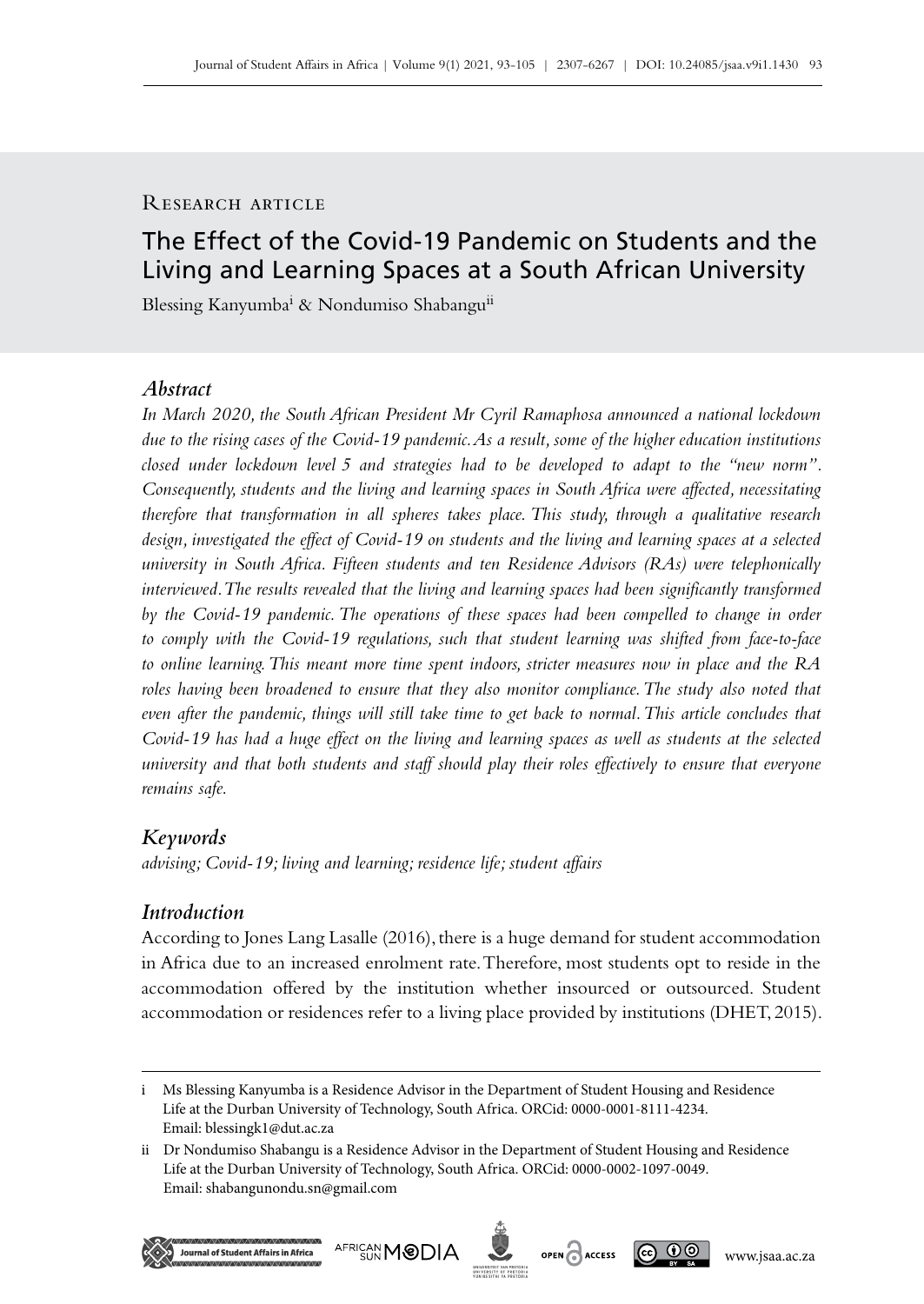# RESEARCH ARTICLE

# The Effect of the Covid‑19 Pandemic on Students and the Living and Learning Spaces at a South African University

Blessing Kanyumba<sup>i</sup> & Nondumiso Shabangu<sup>ii</sup>

# *Abstract*

*In March 2020, the South African President Mr Cyril Ramaphosa announced a national lockdown due to the rising cases of the Covid‑19 pandemic. As a result, some of the higher education institutions closed under lockdown level 5 and strategies had to be developed to adapt to the "new norm". Consequently, students and the living and learning spaces in South Africa were affected, necessitating therefore that transformation in all spheres takes place. This study, through a qualitative research design, investigated the effect of Covid‑19 on students and the living and learning spaces at a selected university in South Africa. Fifteen students and ten Residence Advisors (RAs) were telephonically interviewed. The results revealed that the living and learning spaces had been significantly transformed*  by the Covid-19 pandemic. The operations of these spaces had been compelled to change in order *to comply with the Covid‑19 regulations, such that student learning was shifted from face-to-face to online learning. This meant more time spent indoors, stricter measures now in place and the RA*  roles having been broadened to ensure that they also monitor compliance. The study also noted that *even after the pandemic, things will still take time to get back to normal. This article concludes that Covid‑19 has had a huge effect on the living and learning spaces as well as students at the selected university and that both students and staff should play their roles effectively to ensure that everyone remains safe.* 

## *Keywords*

*advising; Covid‑19; living and learning; residence life; student affairs*

## *Introduction*

According to Jones Lang Lasalle (2016), there is a huge demand for student accommodation in Africa due to an increased enrolment rate. Therefore, most students opt to reside in the accommodation offered by the institution whether insourced or outsourced. Student accommodation or residences refer to a living place provided by institutions (DHET, 2015).

ii Dr Nondumiso Shabangu is a Residence Advisor in the Department of Student Housing and Residence Life at the Durban University of Technology, South Africa. ORCid: 0000-0002-1097-0049. Email: [shabangunondu.sn@gmail.com](mailto:shabangunondu.sn%40gmail.com?subject=)







i Ms Blessing Kanyumba is a Residence Advisor in the Department of Student Housing and Residence Life at the Durban University of Technology, South Africa. ORCid: 0000-0001-8111-4234. Email: [blessingk1@dut.ac.za](mailto:blessingk1%40dut.ac.za?subject=)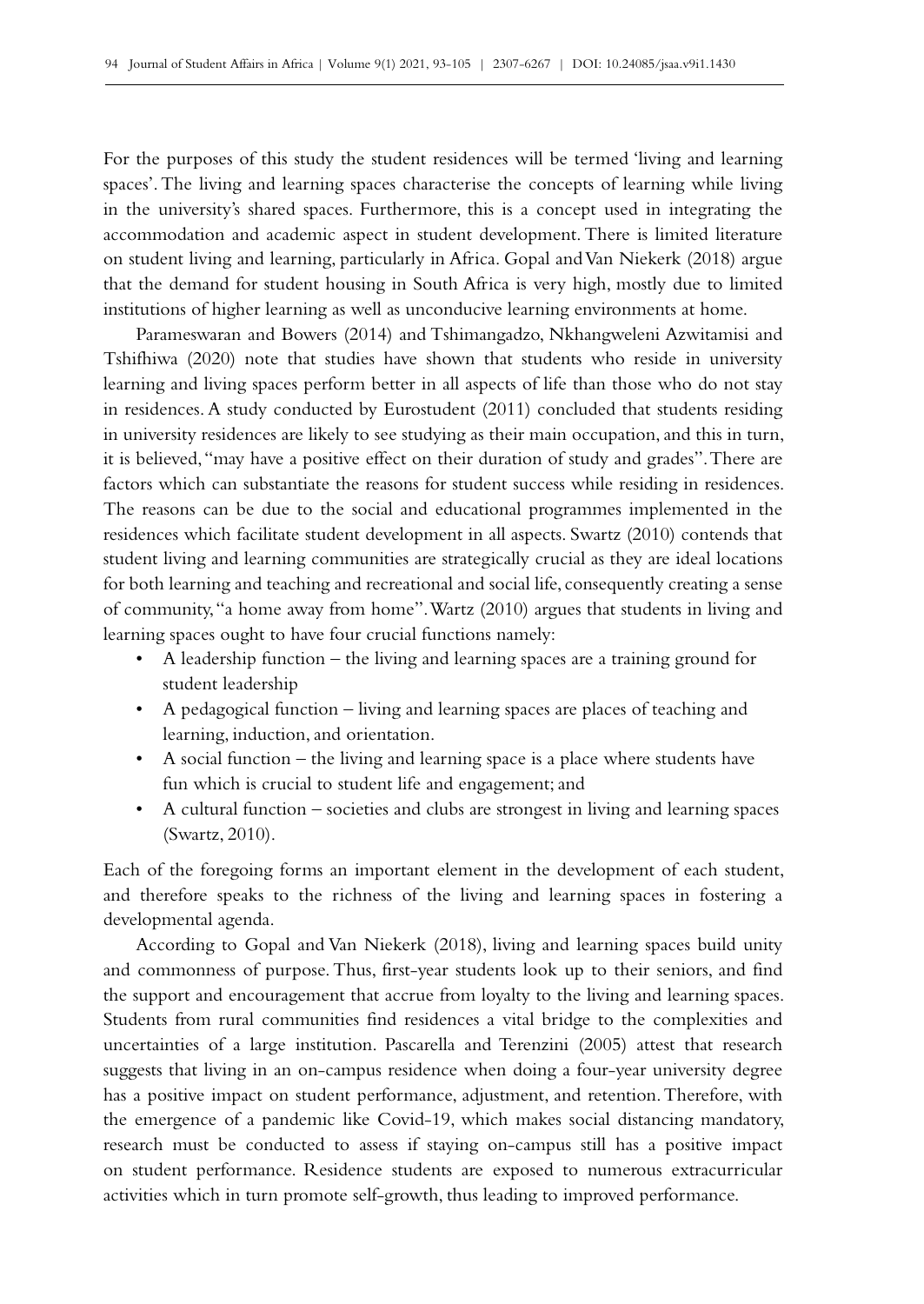For the purposes of this study the student residences will be termed 'living and learning spaces'. The living and learning spaces characterise the concepts of learning while living in the university's shared spaces. Furthermore, this is a concept used in integrating the accommodation and academic aspect in student development. There is limited literature on student living and learning, particularly in Africa. Gopal and Van Niekerk (2018) argue that the demand for student housing in South Africa is very high, mostly due to limited institutions of higher learning as well as unconducive learning environments at home.

Parameswaran and Bowers (2014) and Tshimangadzo, Nkhangweleni Azwitamisi and Tshifhiwa (2020) note that studies have shown that students who reside in university learning and living spaces perform better in all aspects of life than those who do not stay in residences. A study conducted by Eurostudent (2011) concluded that students residing in university residences are likely to see studying as their main occupation, and this in turn, it is believed, "may have a positive effect on their duration of study and grades". There are factors which can substantiate the reasons for student success while residing in residences. The reasons can be due to the social and educational programmes implemented in the residences which facilitate student development in all aspects. Swartz (2010) contends that student living and learning communities are strategically crucial as they are ideal locations for both learning and teaching and recreational and social life, consequently creating a sense of community, "a home away from home". Wartz (2010) argues that students in living and learning spaces ought to have four crucial functions namely:

- A leadership function the living and learning spaces are a training ground for student leadership
- A pedagogical function living and learning spaces are places of teaching and learning, induction, and orientation.
- A social function the living and learning space is a place where students have fun which is crucial to student life and engagement; and
- A cultural function societies and clubs are strongest in living and learning spaces (Swartz, 2010).

Each of the foregoing forms an important element in the development of each student, and therefore speaks to the richness of the living and learning spaces in fostering a developmental agenda.

According to Gopal and Van Niekerk (2018), living and learning spaces build unity and commonness of purpose. Thus, first-year students look up to their seniors, and find the support and encouragement that accrue from loyalty to the living and learning spaces. Students from rural communities find residences a vital bridge to the complexities and uncertainties of a large institution. Pascarella and Terenzini (2005) attest that research suggests that living in an on-campus residence when doing a four-year university degree has a positive impact on student performance, adjustment, and retention. Therefore, with the emergence of a pandemic like Covid-19, which makes social distancing mandatory, research must be conducted to assess if staying on‑campus still has a positive impact on student performance. Residence students are exposed to numerous extracurricular activities which in turn promote self-growth, thus leading to improved performance.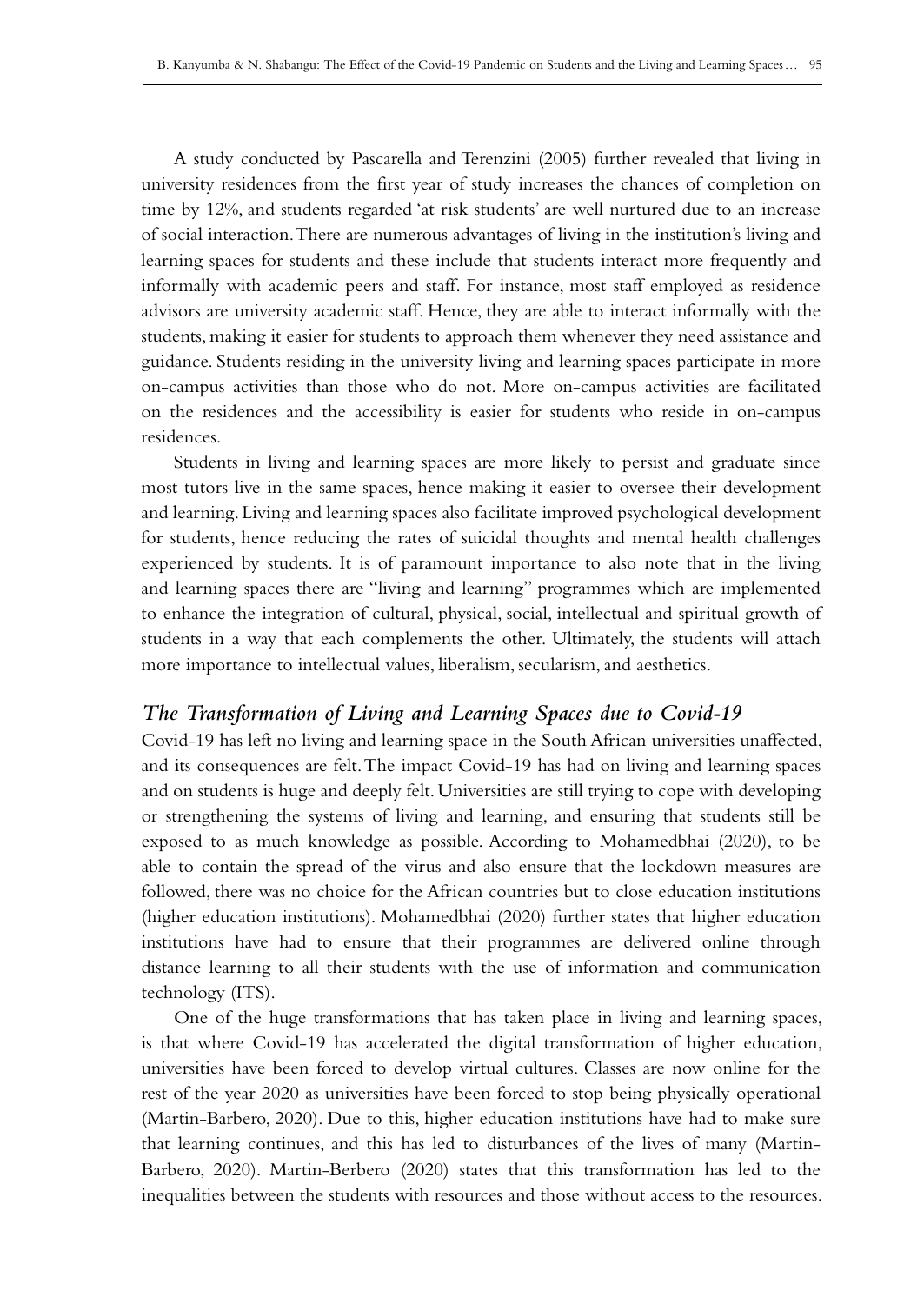A study conducted by Pascarella and Terenzini (2005) further revealed that living in university residences from the first year of study increases the chances of completion on time by 12%, and students regarded 'at risk students' are well nurtured due to an increase of social interaction. There are numerous advantages of living in the institution's living and learning spaces for students and these include that students interact more frequently and informally with academic peers and staff. For instance, most staff employed as residence advisors are university academic staff. Hence, they are able to interact informally with the students, making it easier for students to approach them whenever they need assistance and guidance. Students residing in the university living and learning spaces participate in more on‑campus activities than those who do not. More on-campus activities are facilitated on the residences and the accessibility is easier for students who reside in on‑campus residences.

Students in living and learning spaces are more likely to persist and graduate since most tutors live in the same spaces, hence making it easier to oversee their development and learning. Living and learning spaces also facilitate improved psychological development for students, hence reducing the rates of suicidal thoughts and mental health challenges experienced by students. It is of paramount importance to also note that in the living and learning spaces there are "living and learning" programmes which are implemented to enhance the integration of cultural, physical, social, intellectual and spiritual growth of students in a way that each complements the other. Ultimately, the students will attach more importance to intellectual values, liberalism, secularism, and aesthetics.

# *The Transformation of Living and Learning Spaces due to Covid‑19*

Covid‑19 has left no living and learning space in the South African universities unaffected, and its consequences are felt. The impact Covid‑19 has had on living and learning spaces and on students is huge and deeply felt. Universities are still trying to cope with developing or strengthening the systems of living and learning, and ensuring that students still be exposed to as much knowledge as possible. According to Mohamedbhai (2020), to be able to contain the spread of the virus and also ensure that the lockdown measures are followed, there was no choice for the African countries but to close education institutions (higher education institutions). Mohamedbhai (2020) further states that higher education institutions have had to ensure that their programmes are delivered online through distance learning to all their students with the use of information and communication technology (ITS).

One of the huge transformations that has taken place in living and learning spaces, is that where Covid-19 has accelerated the digital transformation of higher education, universities have been forced to develop virtual cultures. Classes are now online for the rest of the year 2020 as universities have been forced to stop being physically operational (Martin-Barbero, 2020). Due to this, higher education institutions have had to make sure that learning continues, and this has led to disturbances of the lives of many (Martin-Barbero, 2020). Martin-Berbero (2020) states that this transformation has led to the inequalities between the students with resources and those without access to the resources.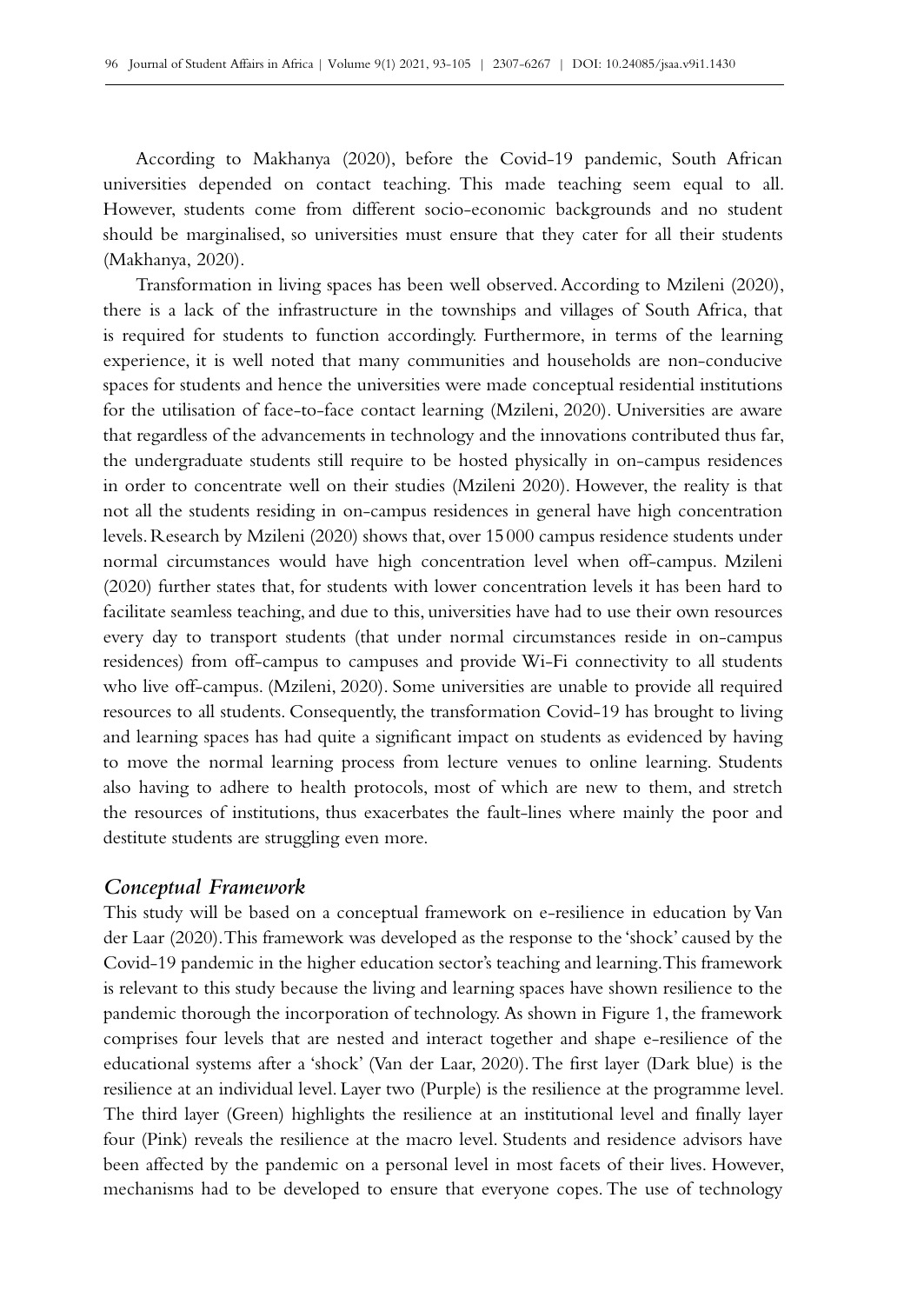According to Makhanya (2020), before the Covid‑19 pandemic, South African universities depended on contact teaching. This made teaching seem equal to all. However, students come from different socio-economic backgrounds and no student should be marginalised, so universities must ensure that they cater for all their students (Makhanya, 2020).

Transformation in living spaces has been well observed. According to Mzileni (2020), there is a lack of the infrastructure in the townships and villages of South Africa, that is required for students to function accordingly. Furthermore, in terms of the learning experience, it is well noted that many communities and households are non-conducive spaces for students and hence the universities were made conceptual residential institutions for the utilisation of face-to-face contact learning (Mzileni, 2020). Universities are aware that regardless of the advancements in technology and the innovations contributed thus far, the undergraduate students still require to be hosted physically in on‑campus residences in order to concentrate well on their studies (Mzileni 2020). However, the reality is that not all the students residing in on‑campus residences in general have high concentration levels. Research by Mzileni (2020) shows that, over 15000 campus residence students under normal circumstances would have high concentration level when off-campus. Mzileni (2020) further states that, for students with lower concentration levels it has been hard to facilitate seamless teaching, and due to this, universities have had to use their own resources every day to transport students (that under normal circumstances reside in on‑campus residences) from off-campus to campuses and provide Wi-Fi connectivity to all students who live off-campus. (Mzileni, 2020). Some universities are unable to provide all required resources to all students. Consequently, the transformation Covid-19 has brought to living and learning spaces has had quite a significant impact on students as evidenced by having to move the normal learning process from lecture venues to online learning. Students also having to adhere to health protocols, most of which are new to them, and stretch the resources of institutions, thus exacerbates the fault-lines where mainly the poor and destitute students are struggling even more.

## *Conceptual Framework*

This study will be based on a conceptual framework on e‑resilience in education by Van der Laar (2020). This framework was developed as the response to the 'shock' caused by the Covid‑19 pandemic in the higher education sector's teaching and learning. This framework is relevant to this study because the living and learning spaces have shown resilience to the pandemic thorough the incorporation of technology. As shown in Figure 1, the framework comprises four levels that are nested and interact together and shape e‑resilience of the educational systems after a 'shock' (Van der Laar, 2020). The first layer (Dark blue) is the resilience at an individual level. Layer two (Purple) is the resilience at the programme level. The third layer (Green) highlights the resilience at an institutional level and finally layer four (Pink) reveals the resilience at the macro level. Students and residence advisors have been affected by the pandemic on a personal level in most facets of their lives. However, mechanisms had to be developed to ensure that everyone copes. The use of technology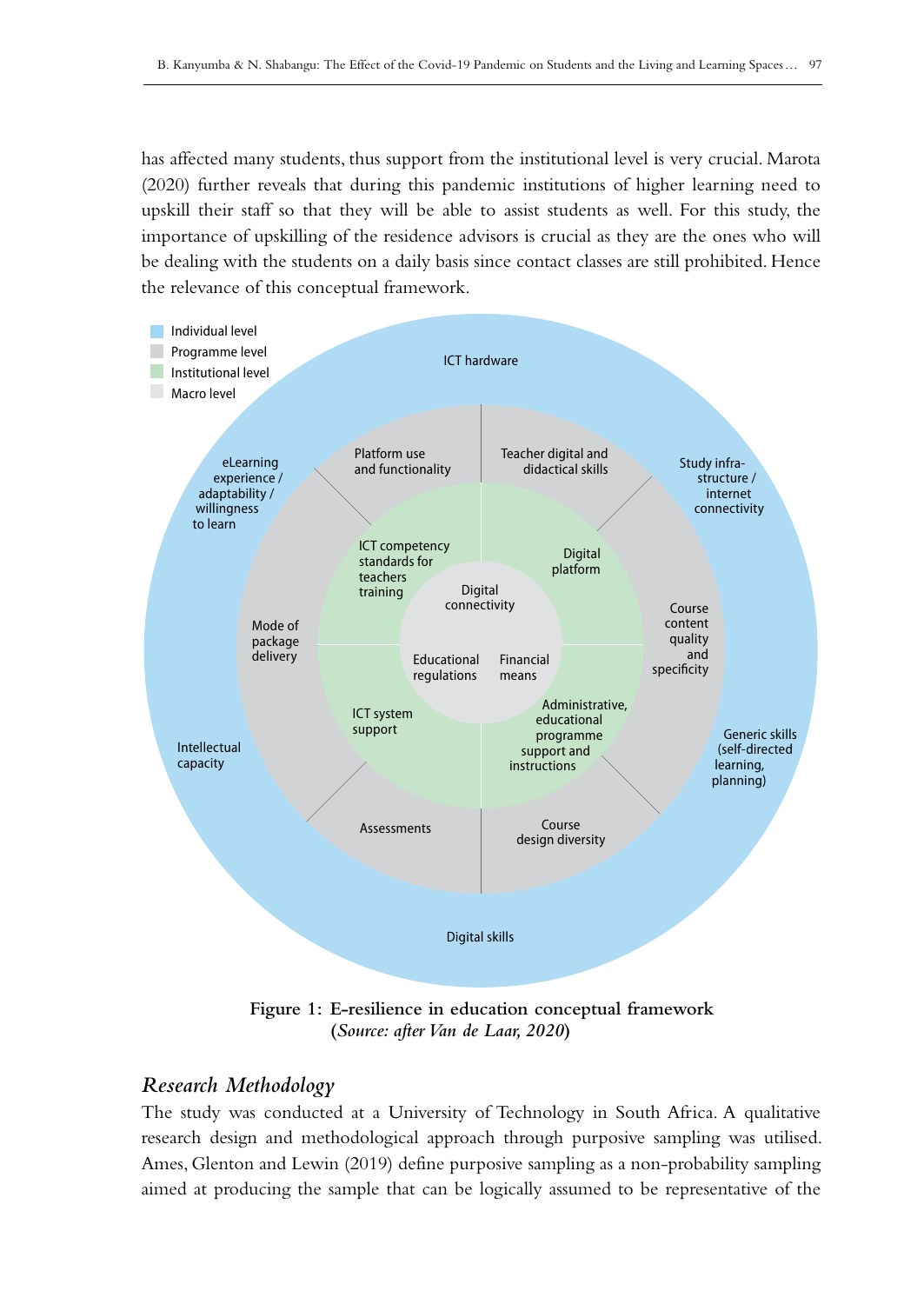has affected many students, thus support from the institutional level is very crucial. Marota (2020) further reveals that during this pandemic institutions of higher learning need to upskill their staff so that they will be able to assist students as well. For this study, the importance of upskilling of the residence advisors is crucial as they are the ones who will be dealing with the students on a daily basis since contact classes are still prohibited. Hence the relevance of this conceptual framework.



**Figure 1: E‑resilience in education conceptual framework (***Source: after Van de Laar, 2020***)**

# *Research Methodology*

The study was conducted at a University of Technology in South Africa. A qualitative research design and methodological approach through purposive sampling was utilised. Ames, Glenton and Lewin (2019) define purposive sampling as a non-probability sampling aimed at producing the sample that can be logically assumed to be representative of the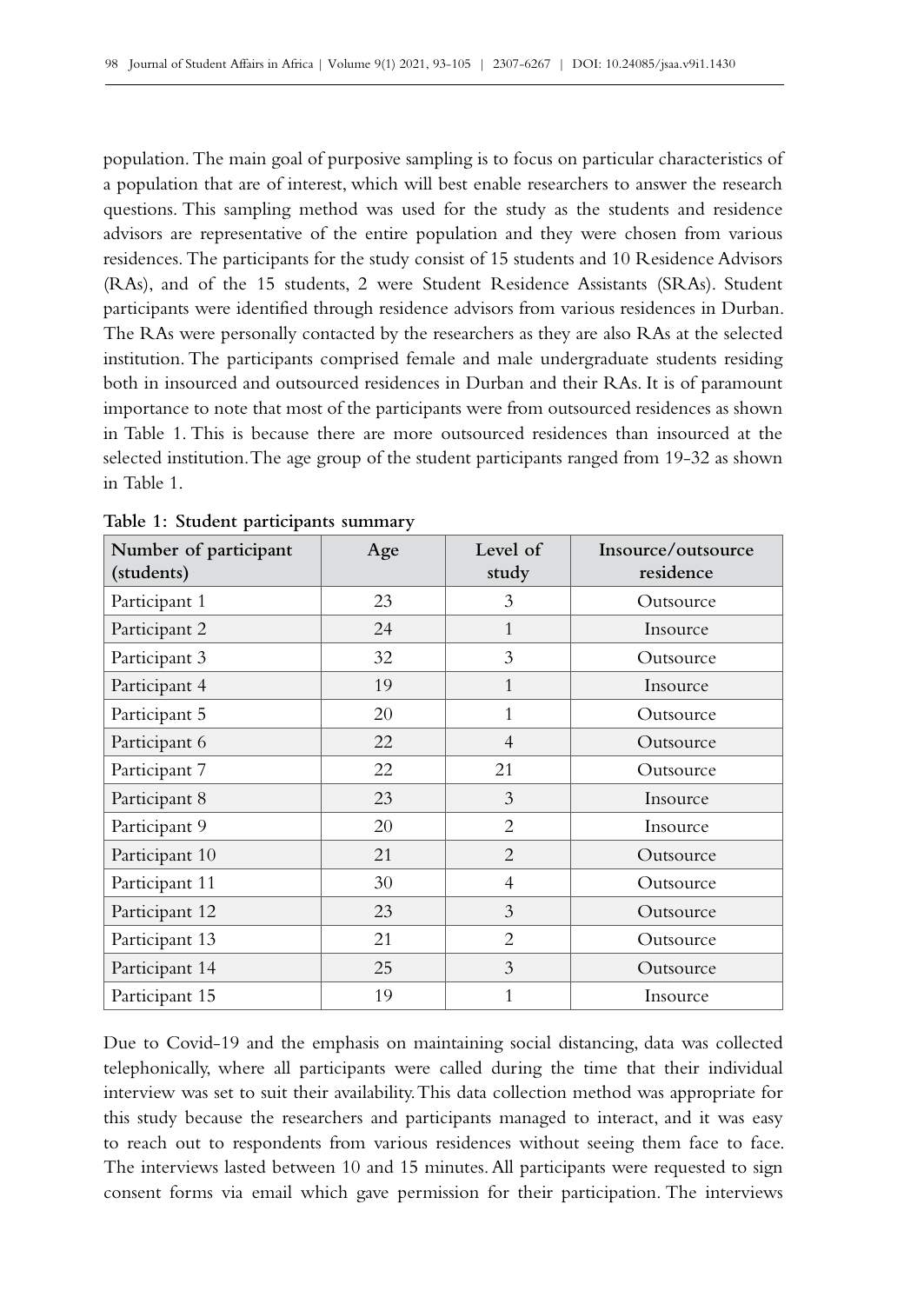population. The main goal of purposive sampling is to focus on particular characteristics of a population that are of interest, which will best enable researchers to answer the research questions. This sampling method was used for the study as the students and residence advisors are representative of the entire population and they were chosen from various residences. The participants for the study consist of 15 students and 10 Residence Advisors (RAs), and of the 15 students, 2 were Student Residence Assistants (SRAs). Student participants were identified through residence advisors from various residences in Durban. The RAs were personally contacted by the researchers as they are also RAs at the selected institution. The participants comprised female and male undergraduate students residing both in insourced and outsourced residences in Durban and their RAs. It is of paramount importance to note that most of the participants were from outsourced residences as shown in Table 1. This is because there are more outsourced residences than insourced at the selected institution. The age group of the student participants ranged from 19-32 as shown in Table 1.

| Number of participant<br>(students) | Age | Level of<br>study | Insource/outsource<br>residence |
|-------------------------------------|-----|-------------------|---------------------------------|
| Participant 1                       | 23  | 3                 | Outsource                       |
| Participant 2                       | 24  | $\mathbf{1}$      | Insource                        |
| Participant 3                       | 32  | 3                 | Outsource                       |
| Participant 4                       | 19  | $\mathbf{1}$      | Insource                        |
| Participant 5                       | 20  | 1                 | Outsource                       |
| Participant 6                       | 22  | $\overline{4}$    | Outsource                       |
| Participant 7                       | 22  | 21                | Outsource                       |
| Participant 8                       | 23  | 3                 | Insource                        |
| Participant 9                       | 20  | 2                 | Insource                        |
| Participant 10                      | 21  | $\overline{2}$    | Outsource                       |
| Participant 11                      | 30  | 4                 | Outsource                       |
| Participant 12                      | 23  | 3                 | Outsource                       |
| Participant 13                      | 21  | 2                 | Outsource                       |
| Participant 14                      | 25  | 3                 | Outsource                       |
| Participant 15                      | 19  | 1                 | Insource                        |

**Table 1: Student participants summary**

Due to Covid‑19 and the emphasis on maintaining social distancing, data was collected telephonically, where all participants were called during the time that their individual interview was set to suit their availability. This data collection method was appropriate for this study because the researchers and participants managed to interact, and it was easy to reach out to respondents from various residences without seeing them face to face. The interviews lasted between 10 and 15 minutes. All participants were requested to sign consent forms via email which gave permission for their participation. The interviews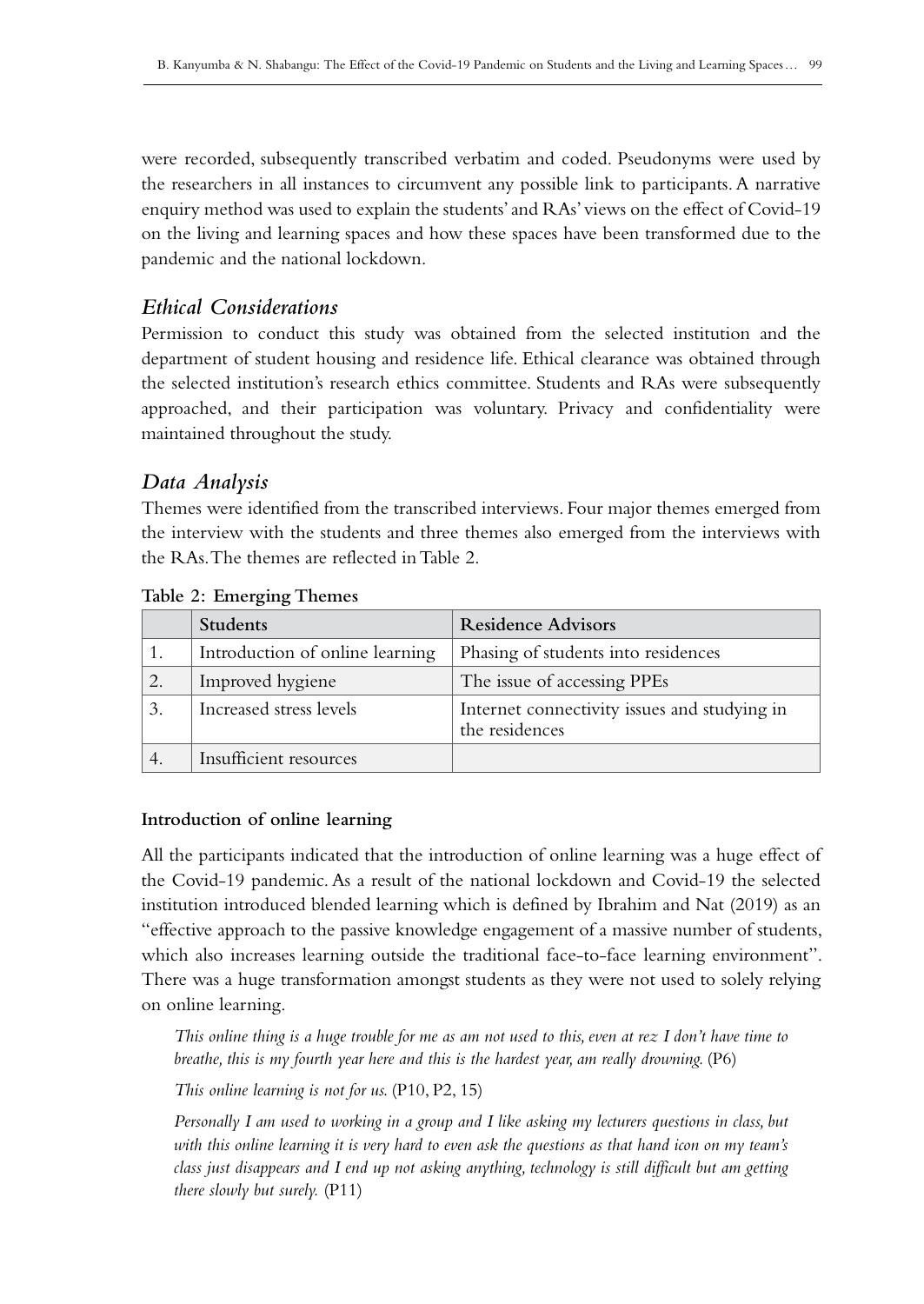were recorded, subsequently transcribed verbatim and coded. Pseudonyms were used by the researchers in all instances to circumvent any possible link to participants. A narrative enquiry method was used to explain the students' and RAs' views on the effect of Covid-19 on the living and learning spaces and how these spaces have been transformed due to the pandemic and the national lockdown.

# *Ethical Considerations*

Permission to conduct this study was obtained from the selected institution and the department of student housing and residence life. Ethical clearance was obtained through the selected institution's research ethics committee. Students and RAs were subsequently approached, and their participation was voluntary. Privacy and confidentiality were maintained throughout the study.

# *Data Analysis*

Themes were identified from the transcribed interviews. Four major themes emerged from the interview with the students and three themes also emerged from the interviews with the RAs. The themes are reflected in Table 2.

|    | <b>Students</b>                 | <b>Residence Advisors</b>                                      |
|----|---------------------------------|----------------------------------------------------------------|
|    | Introduction of online learning | Phasing of students into residences                            |
| 2. | Improved hygiene                | The issue of accessing PPEs                                    |
| 3. | Increased stress levels         | Internet connectivity issues and studying in<br>the residences |
|    | Insufficient resources          |                                                                |

**Table 2: Emerging Themes**

# **Introduction of online learning**

All the participants indicated that the introduction of online learning was a huge effect of the Covid‑19 pandemic. As a result of the national lockdown and Covid‑19 the selected institution introduced blended learning which is defined by Ibrahim and Nat (2019) as an "effective approach to the passive knowledge engagement of a massive number of students, which also increases learning outside the traditional face-to-face learning environment". There was a huge transformation amongst students as they were not used to solely relying on online learning.

*This online thing is a huge trouble for me as am not used to this, even at rez I don't have time to breathe, this is my fourth year here and this is the hardest year, am really drowning.* (P6)

*This online learning is not for us.* (P10, P2, 15)

*Personally I am used to working in a group and I like asking my lecturers questions in class, but with this online learning it is very hard to even ask the questions as that hand icon on my team's class just disappears and I end up not asking anything, technology is still difficult but am getting there slowly but surely.* (P11)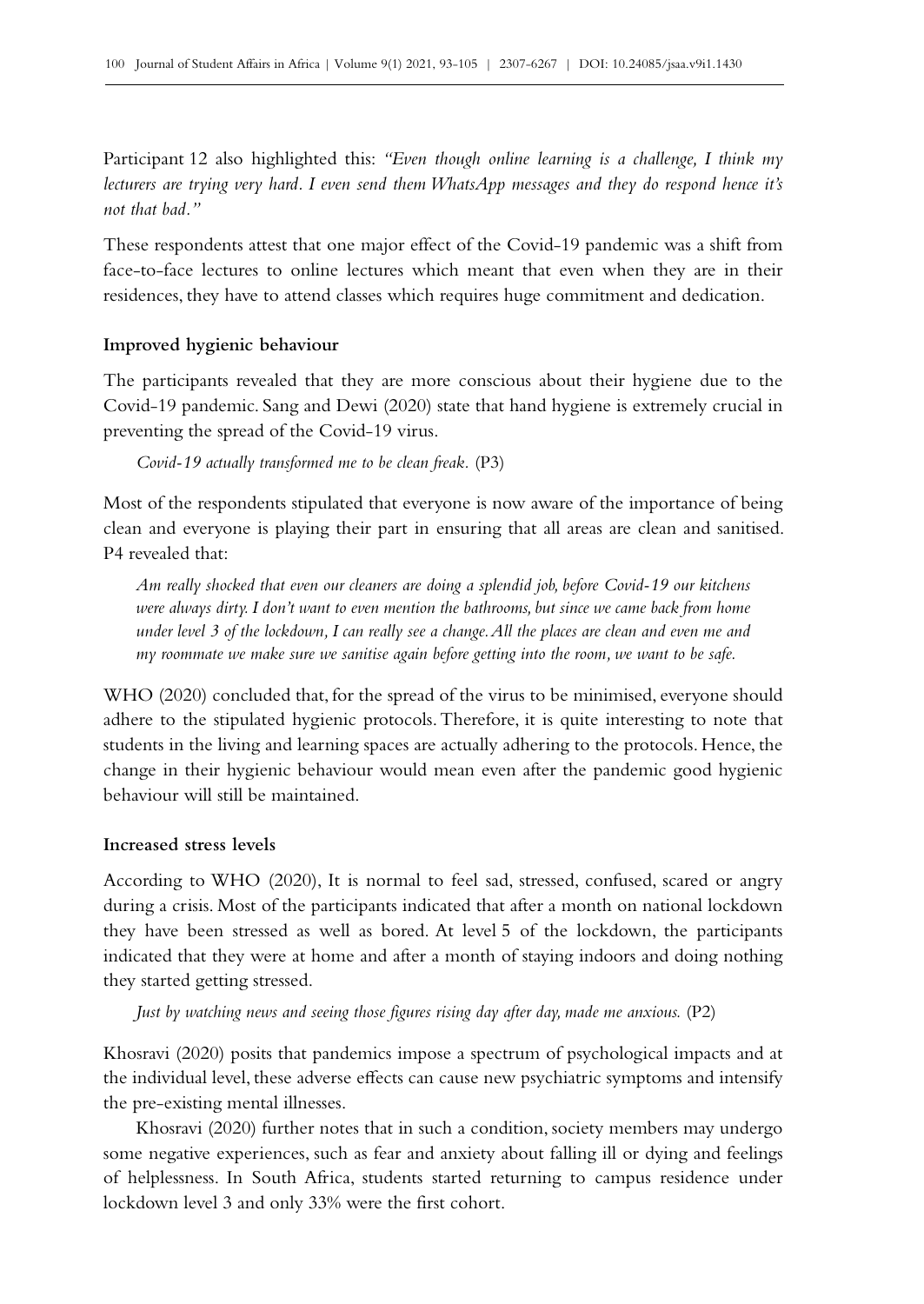Participant 12 also highlighted this: *"Even though online learning is a challenge, I think my lecturers are trying very hard. I even send them WhatsApp messages and they do respond hence it's not that bad."*

These respondents attest that one major effect of the Covid–19 pandemic was a shift from face-to-face lectures to online lectures which meant that even when they are in their residences, they have to attend classes which requires huge commitment and dedication.

## **Improved hygienic behaviour**

The participants revealed that they are more conscious about their hygiene due to the Covid‑19 pandemic. Sang and Dewi (2020) state that hand hygiene is extremely crucial in preventing the spread of the Covid-19 virus.

*Covid‑19 actually transformed me to be clean freak.* (P3)

Most of the respondents stipulated that everyone is now aware of the importance of being clean and everyone is playing their part in ensuring that all areas are clean and sanitised. P4 revealed that:

*Am really shocked that even our cleaners are doing a splendid job, before Covid‑19 our kitchens were always dirty. I don't want to even mention the bathrooms, but since we came back from home under level 3 of the lockdown, I can really see a change. All the places are clean and even me and my roommate we make sure we sanitise again before getting into the room, we want to be safe.*

WHO (2020) concluded that, for the spread of the virus to be minimised, everyone should adhere to the stipulated hygienic protocols. Therefore, it is quite interesting to note that students in the living and learning spaces are actually adhering to the protocols. Hence, the change in their hygienic behaviour would mean even after the pandemic good hygienic behaviour will still be maintained.

### **Increased stress levels**

According to WHO (2020), It is normal to feel sad, stressed, confused, scared or angry during a crisis. Most of the participants indicated that after a month on national lockdown they have been stressed as well as bored. At level 5 of the lockdown, the participants indicated that they were at home and after a month of staying indoors and doing nothing they started getting stressed.

*Just by watching news and seeing those figures rising day after day, made me anxious.* (P2)

Khosravi (2020) posits that pandemics impose a spectrum of psychological impacts and at the individual level, these adverse effects can cause new psychiatric symptoms and intensify the pre‑existing mental illnesses.

Khosravi (2020) further notes that in such a condition, society members may undergo some negative experiences, such as fear and anxiety about falling ill or dying and feelings of helplessness. In South Africa, students started returning to campus residence under lockdown level 3 and only 33% were the first cohort.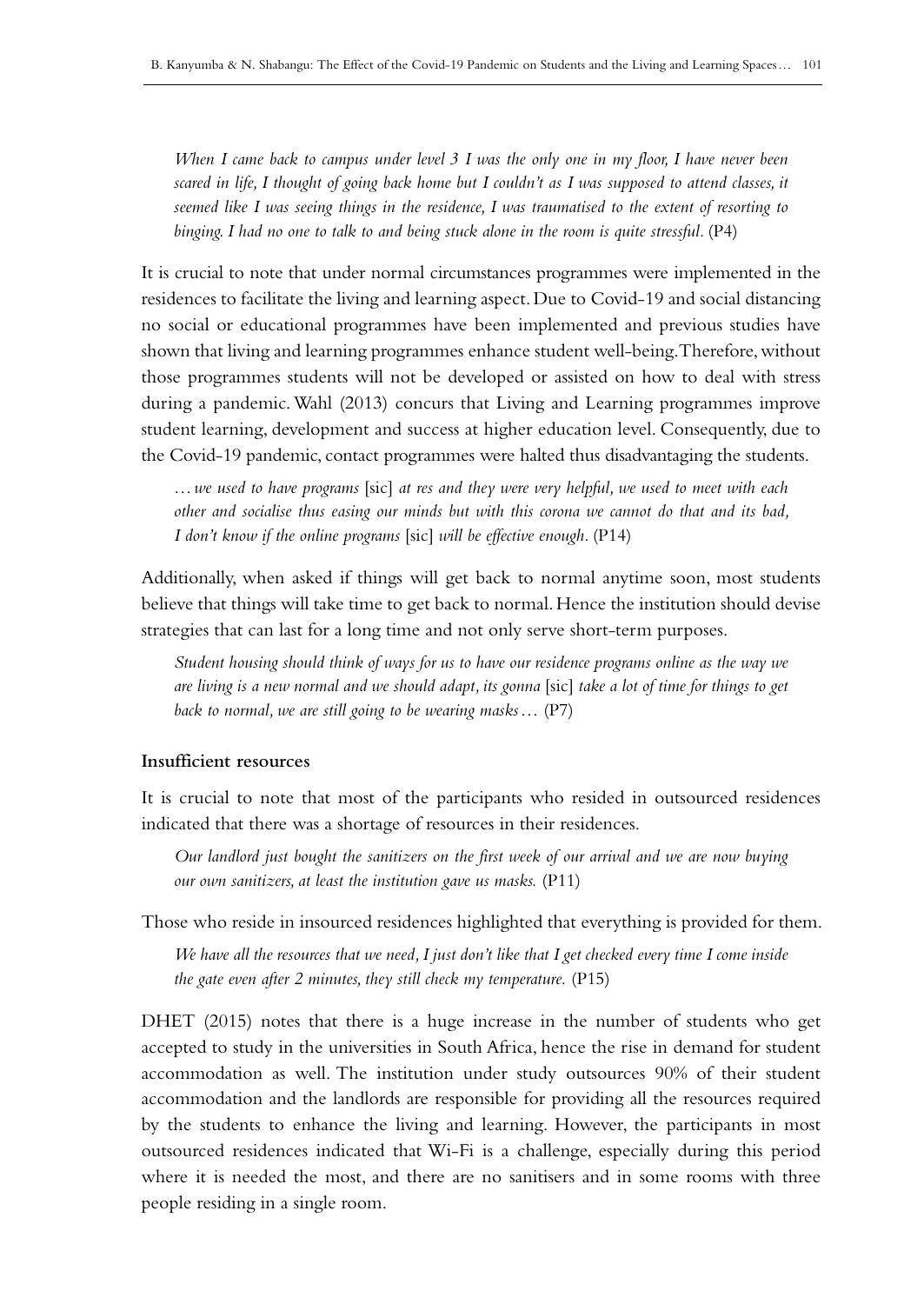*When I came back to campus under level 3 I was the only one in my floor, I have never been scared in life, I thought of going back home but I couldn't as I was supposed to attend classes, it seemed like I was seeing things in the residence, I was traumatised to the extent of resorting to*  binging. I had no one to talk to and being stuck alone in the room is quite stressful. (P4)

It is crucial to note that under normal circumstances programmes were implemented in the residences to facilitate the living and learning aspect. Due to Covid‑19 and social distancing no social or educational programmes have been implemented and previous studies have shown that living and learning programmes enhance student well-being. Therefore, without those programmes students will not be developed or assisted on how to deal with stress during a pandemic. Wahl (2013) concurs that Living and Learning programmes improve student learning, development and success at higher education level. Consequently, due to the Covid‑19 pandemic, contact programmes were halted thus disadvantaging the students.

*…we used to have programs* [sic] *at res and they were very helpful, we used to meet with each other and socialise thus easing our minds but with this corona we cannot do that and its bad, I don't know if the online programs* [sic] *will be effective enough.* (P14)

Additionally, when asked if things will get back to normal anytime soon, most students believe that things will take time to get back to normal. Hence the institution should devise strategies that can last for a long time and not only serve short-term purposes.

*Student housing should think of ways for us to have our residence programs online as the way we are living is a new normal and we should adapt, its gonna* [sic] *take a lot of time for things to get back to normal, we are still going to be wearing masks…* (P7)

#### **Insufficient resources**

It is crucial to note that most of the participants who resided in outsourced residences indicated that there was a shortage of resources in their residences.

*Our landlord just bought the sanitizers on the first week of our arrival and we are now buying our own sanitizers, at least the institution gave us masks.* (P11)

Those who reside in insourced residences highlighted that everything is provided for them.

*We have all the resources that we need, I just don't like that I get checked every time I come inside the gate even after 2 minutes, they still check my temperature.* (P15)

DHET (2015) notes that there is a huge increase in the number of students who get accepted to study in the universities in South Africa, hence the rise in demand for student accommodation as well. The institution under study outsources 90% of their student accommodation and the landlords are responsible for providing all the resources required by the students to enhance the living and learning. However, the participants in most outsourced residences indicated that Wi‑Fi is a challenge, especially during this period where it is needed the most, and there are no sanitisers and in some rooms with three people residing in a single room.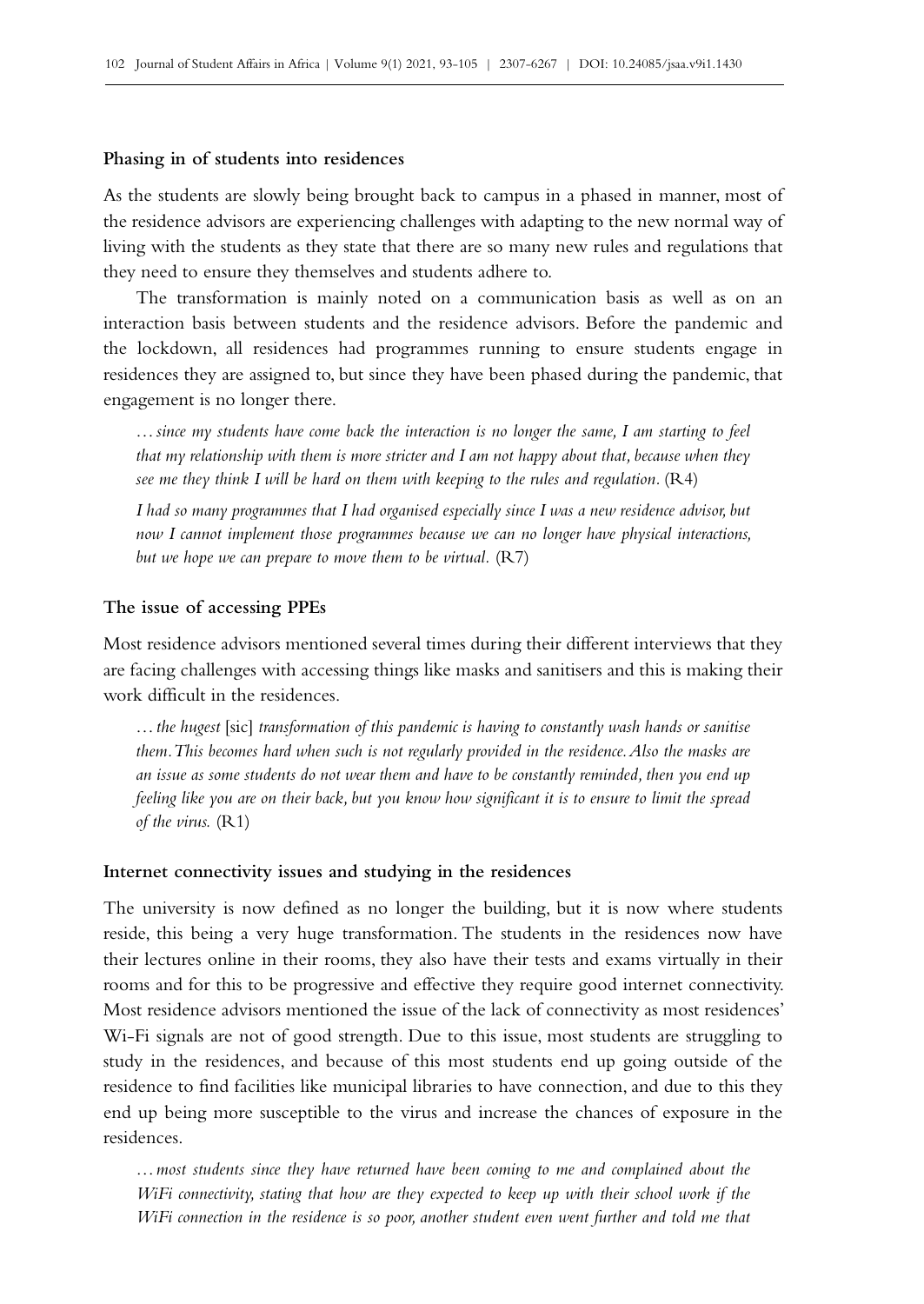#### **Phasing in of students into residences**

As the students are slowly being brought back to campus in a phased in manner, most of the residence advisors are experiencing challenges with adapting to the new normal way of living with the students as they state that there are so many new rules and regulations that they need to ensure they themselves and students adhere to.

The transformation is mainly noted on a communication basis as well as on an interaction basis between students and the residence advisors. Before the pandemic and the lockdown, all residences had programmes running to ensure students engage in residences they are assigned to, but since they have been phased during the pandemic, that engagement is no longer there.

*…since my students have come back the interaction is no longer the same, I am starting to feel that my relationship with them is more stricter and I am not happy about that, because when they see me they think I will be hard on them with keeping to the rules and regulation.* (R4)

*I had so many programmes that I had organised especially since I was a new residence advisor, but now I cannot implement those programmes because we can no longer have physical interactions, but we hope we can prepare to move them to be virtual.* (R7)

#### **The issue of accessing PPEs**

Most residence advisors mentioned several times during their different interviews that they are facing challenges with accessing things like masks and sanitisers and this is making their work difficult in the residences.

*…the hugest* [sic] *transformation of this pandemic is having to constantly wash hands or sanitise them. This becomes hard when such is not regularly provided in the residence. Also the masks are an issue as some students do not wear them and have to be constantly reminded, then you end up feeling like you are on their back, but you know how significant it is to ensure to limit the spread of the virus.* (R1)

#### **Internet connectivity issues and studying in the residences**

The university is now defined as no longer the building, but it is now where students reside, this being a very huge transformation. The students in the residences now have their lectures online in their rooms, they also have their tests and exams virtually in their rooms and for this to be progressive and effective they require good internet connectivity. Most residence advisors mentioned the issue of the lack of connectivity as most residences' W<sub>1</sub>-Fi signals are not of good strength. Due to this issue, most students are struggling to study in the residences, and because of this most students end up going outside of the residence to find facilities like municipal libraries to have connection, and due to this they end up being more susceptible to the virus and increase the chances of exposure in the residences.

*…most students since they have returned have been coming to me and complained about the WiFi connectivity, stating that how are they expected to keep up with their school work if the WiFi connection in the residence is so poor, another student even went further and told me that*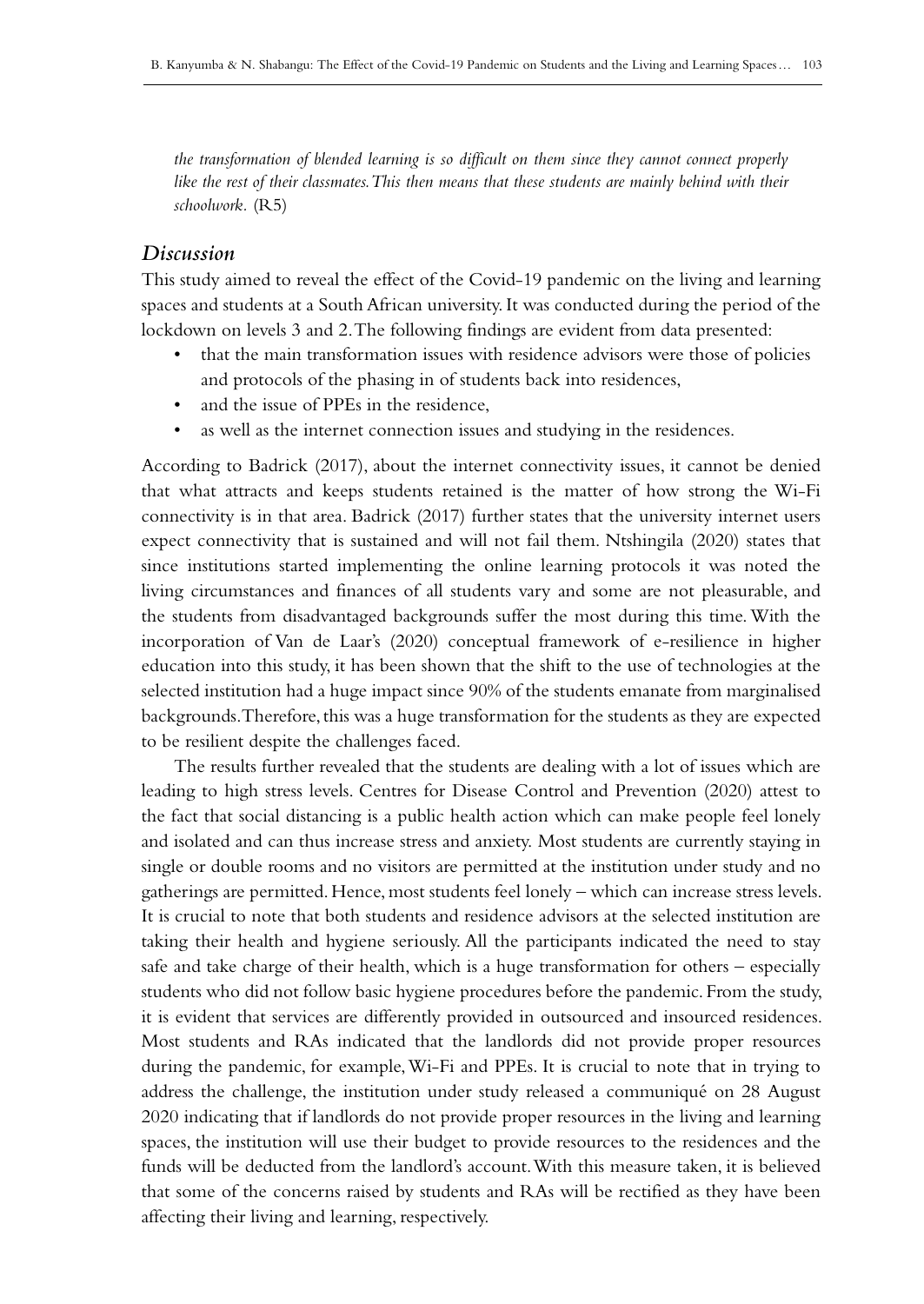*the transformation of blended learning is so difficult on them since they cannot connect properly*  like the rest of their classmates. This then means that these students are mainly behind with their *schoolwork.* (R5)

## *Discussion*

This study aimed to reveal the effect of the Covid‑19 pandemic on the living and learning spaces and students at a South African university. It was conducted during the period of the lockdown on levels 3 and 2. The following findings are evident from data presented:

- that the main transformation issues with residence advisors were those of policies and protocols of the phasing in of students back into residences,
- and the issue of PPEs in the residence,
- as well as the internet connection issues and studying in the residences.

According to Badrick (2017), about the internet connectivity issues, it cannot be denied that what attracts and keeps students retained is the matter of how strong the Wi‑Fi connectivity is in that area. Badrick (2017) further states that the university internet users expect connectivity that is sustained and will not fail them. Ntshingila (2020) states that since institutions started implementing the online learning protocols it was noted the living circumstances and finances of all students vary and some are not pleasurable, and the students from disadvantaged backgrounds suffer the most during this time. With the incorporation of Van de Laar's (2020) conceptual framework of e-resilience in higher education into this study, it has been shown that the shift to the use of technologies at the selected institution had a huge impact since 90% of the students emanate from marginalised backgrounds. Therefore, this was a huge transformation for the students as they are expected to be resilient despite the challenges faced.

The results further revealed that the students are dealing with a lot of issues which are leading to high stress levels. Centres for Disease Control and Prevention (2020) attest to the fact that social distancing is a public health action which can make people feel lonely and isolated and can thus increase stress and anxiety. Most students are currently staying in single or double rooms and no visitors are permitted at the institution under study and no gatherings are permitted. Hence, most students feel lonely – which can increase stress levels. It is crucial to note that both students and residence advisors at the selected institution are taking their health and hygiene seriously. All the participants indicated the need to stay safe and take charge of their health, which is a huge transformation for others – especially students who did not follow basic hygiene procedures before the pandemic. From the study, it is evident that services are differently provided in outsourced and insourced residences. Most students and RAs indicated that the landlords did not provide proper resources during the pandemic, for example, Wi‑Fi and PPEs. It is crucial to note that in trying to address the challenge, the institution under study released a communiqué on 28 August 2020 indicating that if landlords do not provide proper resources in the living and learning spaces, the institution will use their budget to provide resources to the residences and the funds will be deducted from the landlord's account. With this measure taken, it is believed that some of the concerns raised by students and RAs will be rectified as they have been affecting their living and learning, respectively.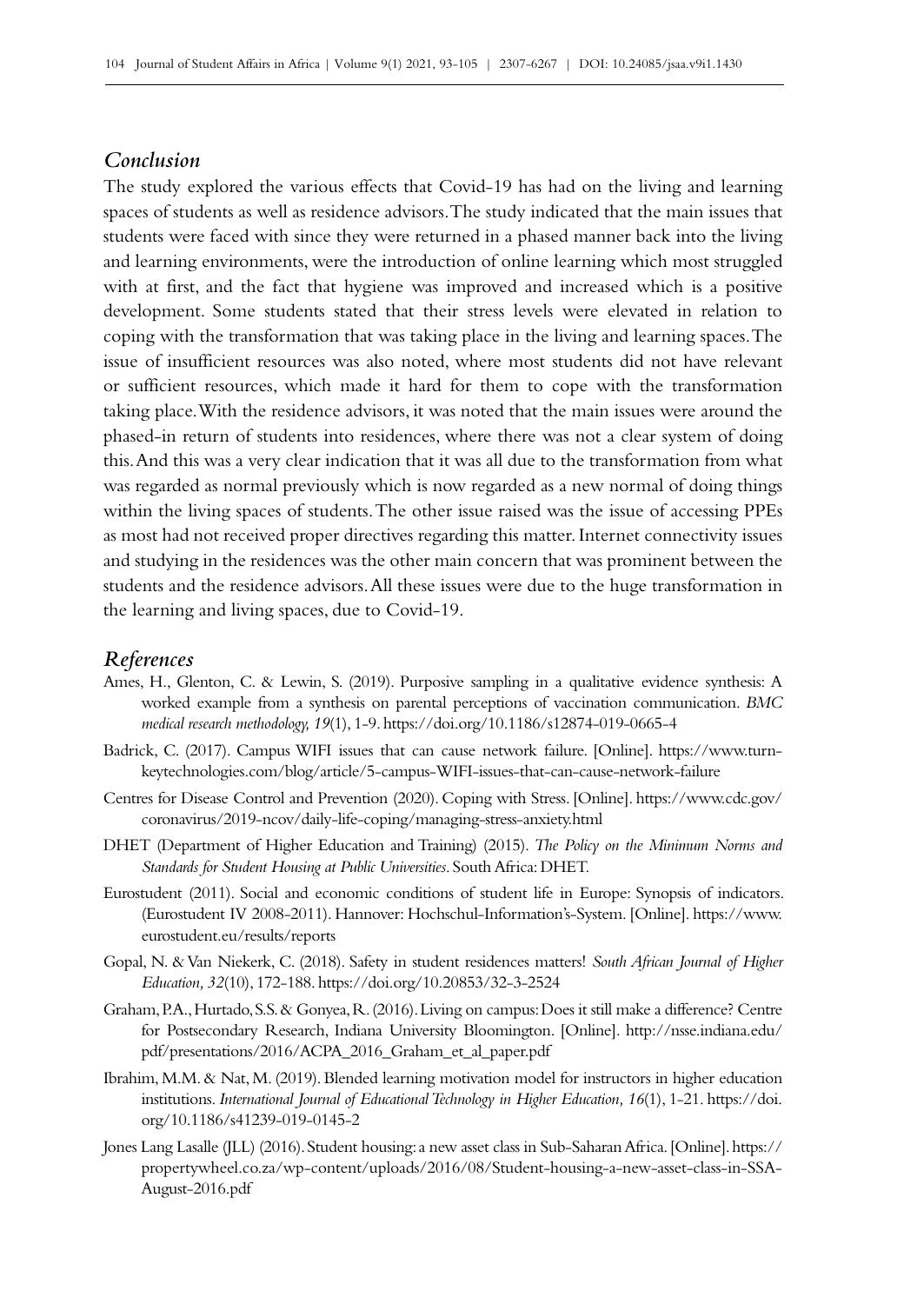# *Conclusion*

The study explored the various effects that Covid–19 has had on the living and learning spaces of students as well as residence advisors. The study indicated that the main issues that students were faced with since they were returned in a phased manner back into the living and learning environments, were the introduction of online learning which most struggled with at first, and the fact that hygiene was improved and increased which is a positive development. Some students stated that their stress levels were elevated in relation to coping with the transformation that was taking place in the living and learning spaces. The issue of insufficient resources was also noted, where most students did not have relevant or sufficient resources, which made it hard for them to cope with the transformation taking place. With the residence advisors, it was noted that the main issues were around the phased-in return of students into residences, where there was not a clear system of doing this. And this was a very clear indication that it was all due to the transformation from what was regarded as normal previously which is now regarded as a new normal of doing things within the living spaces of students. The other issue raised was the issue of accessing PPEs as most had not received proper directives regarding this matter. Internet connectivity issues and studying in the residences was the other main concern that was prominent between the students and the residence advisors. All these issues were due to the huge transformation in the learning and living spaces, due to Covid-19.

#### *References*

- Ames, H., Glenton, C. & Lewin, S. (2019). Purposive sampling in a qualitative evidence synthesis: A worked example from a synthesis on parental perceptions of vaccination communication. *BMC medical research methodology, 19*(1), 1‑9.<https://doi.org/10.1186/s12874-019-0665-4>
- Badrick, C. (2017). Campus WIFI issues that can cause network failure. [Online]. [https://www.turn](https://www.turn-keytechnologies.com/blog/article/5-campus-WIFI-issues-that-can-cause-network-failur)[keytechnologies.com/blog/article/5-campus-WIFI-issues-that-can-cause-network-failure](https://www.turn-keytechnologies.com/blog/article/5-campus-WIFI-issues-that-can-cause-network-failur)
- Centres for Disease Control and Prevention (2020). Coping with Stress. [Online]. [https://www.cdc.gov/](https://www.cdc.gov/coronavirus/2019-ncov/daily-life-coping/managing-stress-anxiety.html) [coronavirus/2019-ncov/daily-life-coping/managing-stress-anxiety.html](https://www.cdc.gov/coronavirus/2019-ncov/daily-life-coping/managing-stress-anxiety.html)
- DHET (Department of Higher Education and Training) (2015). *The Policy on the Minimum Norms and Standards for Student Housing at Public Universities*. South Africa: DHET.
- Eurostudent (2011). Social and economic conditions of student life in Europe: Synopsis of indicators. (Eurostudent IV 2008‑2011). Hannover: Hochschul-Information's-System. [Online]. [https://www.](https://www.eurostudent.eu/results/reports) [eurostudent.eu/results/reports](https://www.eurostudent.eu/results/reports)
- Gopal, N. & Van Niekerk, C. (2018). Safety in student residences matters! *South African Journal of Higher Education, 32*(10), 172‑188.<https://doi.org/10.20853/32-3-2524>
- Graham, P.A., Hurtado, S.S. & Gonyea, R. (2016). Living on campus: Does it still make a difference? Centre for Postsecondary Research, Indiana University Bloomington. [Online]. [http://nsse.indiana.edu/](http://nsse.indiana.edu/pdf/presentations/2016/ACPA_2016_Graham_et_al_paper.pdf) [pdf/presentations/2016/ACPA\\_2016\\_Graham\\_et\\_al\\_paper.pdf](http://nsse.indiana.edu/pdf/presentations/2016/ACPA_2016_Graham_et_al_paper.pdf)
- Ibrahim, M.M. & Nat, M. (2019). Blended learning motivation model for instructors in higher education institutions. *International Journal of Educational Technology in Higher Education, 16*(1), 1-21. [https://doi.](https://doi.org/10.1186/s41239-019-0145-2) [org/10.1186/s41239-019-0145-2](https://doi.org/10.1186/s41239-019-0145-2)
- Jones Lang Lasalle (JLL) (2016). Student housing: a new asset class in Sub-Saharan Africa. [Online]. [https://](https://propertywheel.co.za/wp-content/uploads/2016/08/Student-housing-a-new-asset-class-in-SSA-Augu) [propertywheel.co.za/wp-content/uploads/2016/08/Student-housing-a-new-asset-class-in-SSA-](https://propertywheel.co.za/wp-content/uploads/2016/08/Student-housing-a-new-asset-class-in-SSA-Augu)[August-2016.pdf](https://propertywheel.co.za/wp-content/uploads/2016/08/Student-housing-a-new-asset-class-in-SSA-Augu)